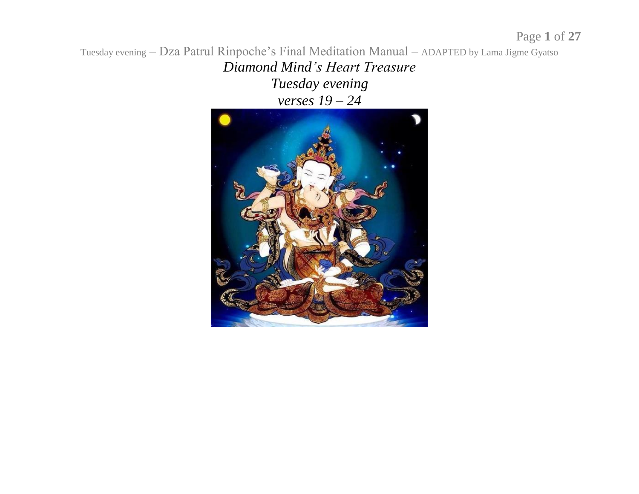*Diamond Mind's Heart Treasure Tuesday evening verses 19 – 24*

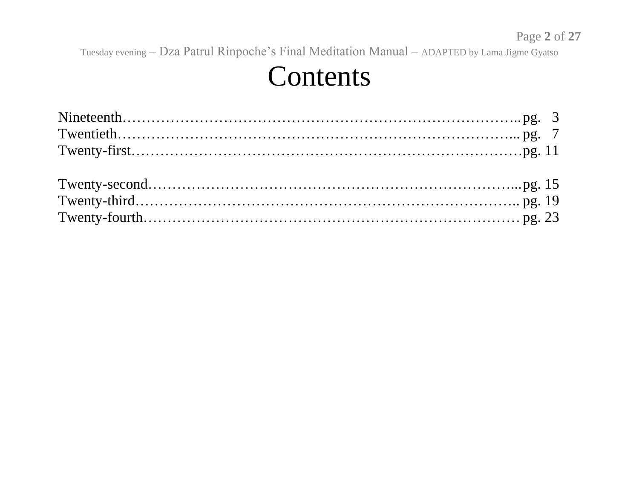#### Contents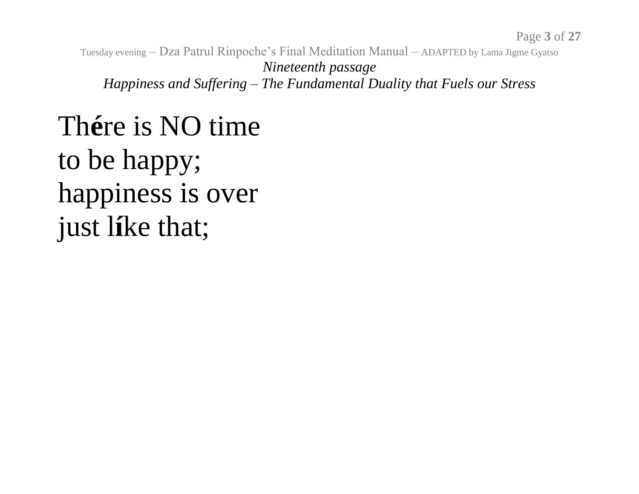Tuesday evening – Dza Patrul Rinpoche's Final Meditation Manual – ADAPTED by Lama Jigme Gyatso *Nineteenth passage Happiness and Suffering – The Fundamental Duality that Fuels our Stress*

### Th**é**re is NO time to be happy; happiness is over just l**í**ke that;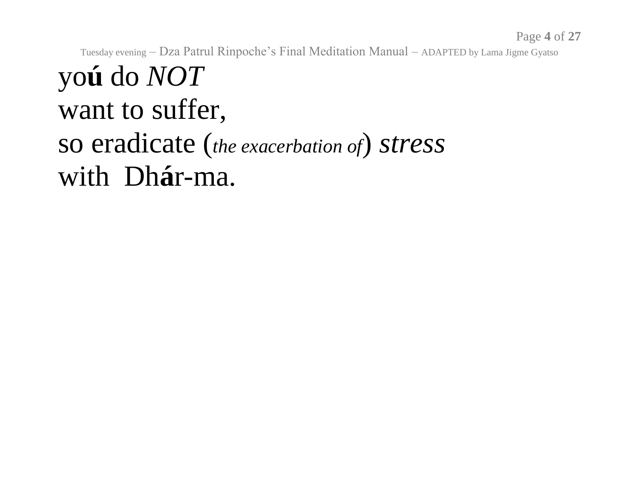#### yo**ú** do *NOT* want to suffer, so eradicate (*the exacerbation of*) *stress* with Dh**á**r-ma.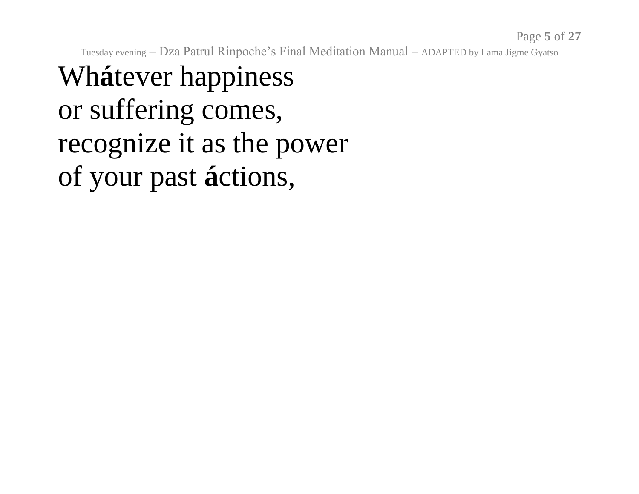# Wh**á**tever happiness or suffering comes, recognize it as the power of your past **á**ctions,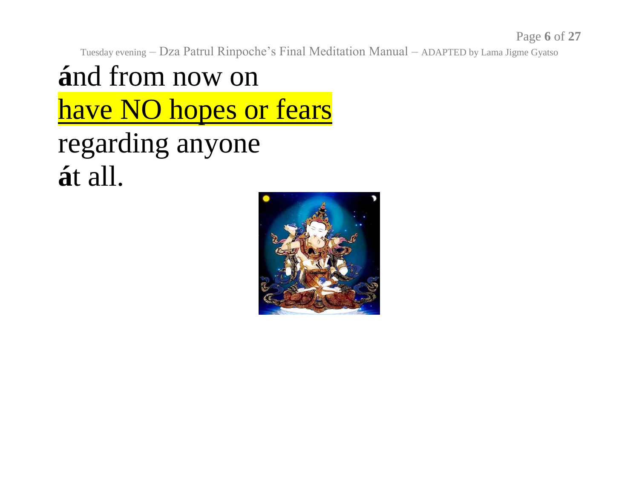### **á**nd from now on have NO hopes or fears regarding anyone **á**t all.

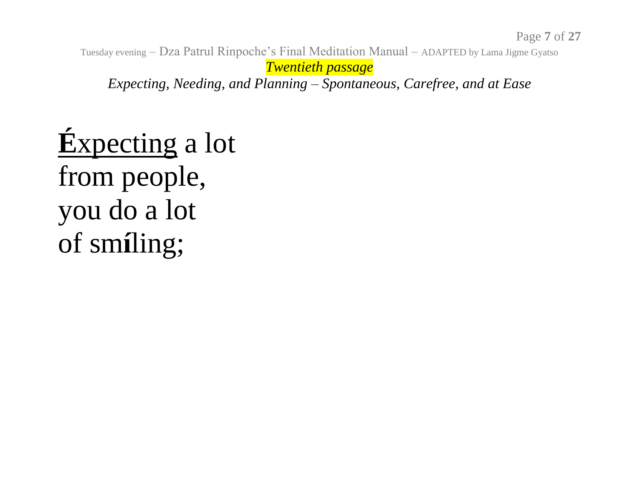Tuesday evening – Dza Patrul Rinpoche's Final Meditation Manual – ADAPTED by Lama Jigme Gyatso *Twentieth passage Expecting, Needing, and Planning – Spontaneous, Carefree, and at Ease*

# **É**xpecting a lot from people, you do a lot of sm**í**ling;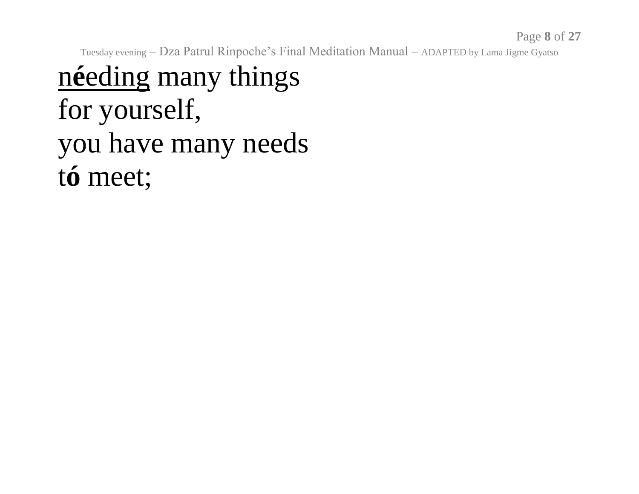### n**é**eding many things for yourself, you have many needs t**ó** meet;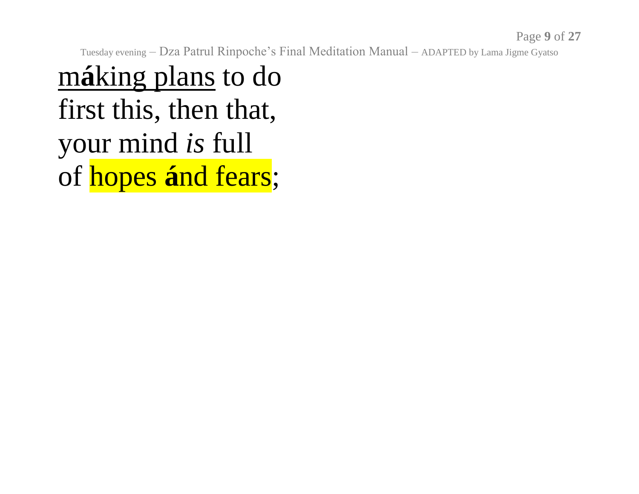m**á**king plans to do first this, then that, your mind *is* full of hopes **á**nd fears;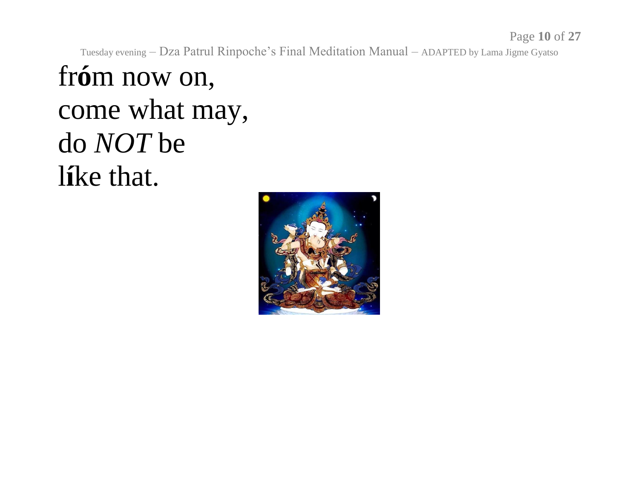#### fr**ó**m now on, come what may, do *NOT* be l**í**ke that.

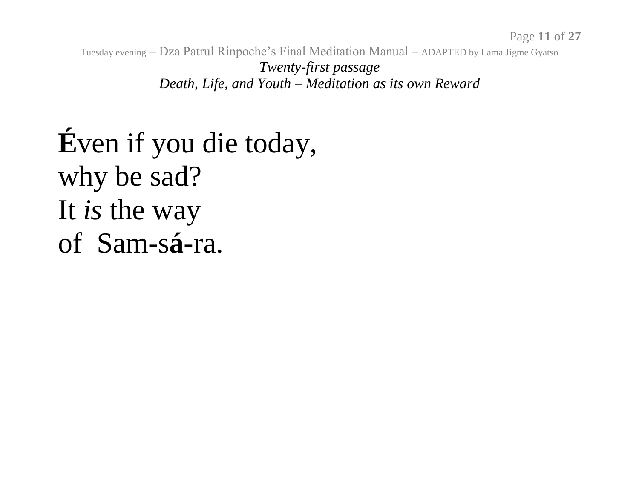Tuesday evening – Dza Patrul Rinpoche's Final Meditation Manual – ADAPTED by Lama Jigme Gyatso *Twenty-first passage Death, Life, and Youth – Meditation as its own Reward*

**É**ven if you die today, why be sad? It *is* the way of Sam-s**á**-ra.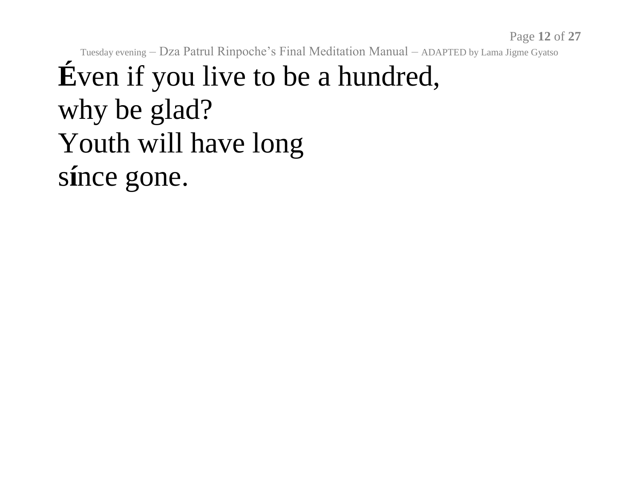Page **12** of **27**

Tuesday evening – Dza Patrul Rinpoche's Final Meditation Manual – ADAPTED by Lama Jigme Gyatso

#### **É**ven if you live to be a hundred, why be glad? Youth will have long s**í**nce gone.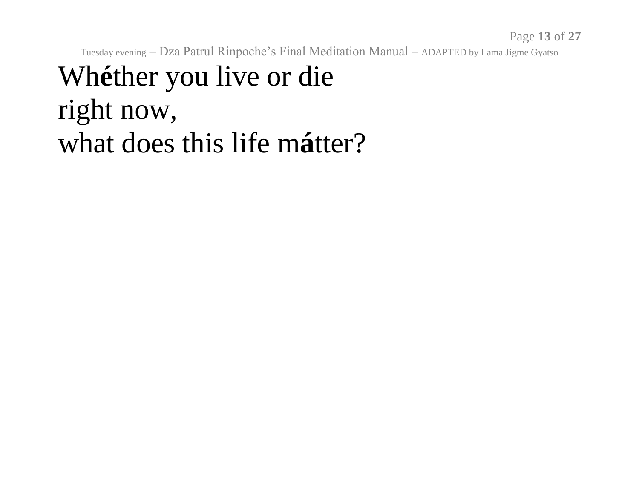Page **13** of **27**

Tuesday evening – Dza Patrul Rinpoche's Final Meditation Manual – ADAPTED by Lama Jigme Gyatso

#### Wh**é**ther you live or die right now, what does this life m**á**tter?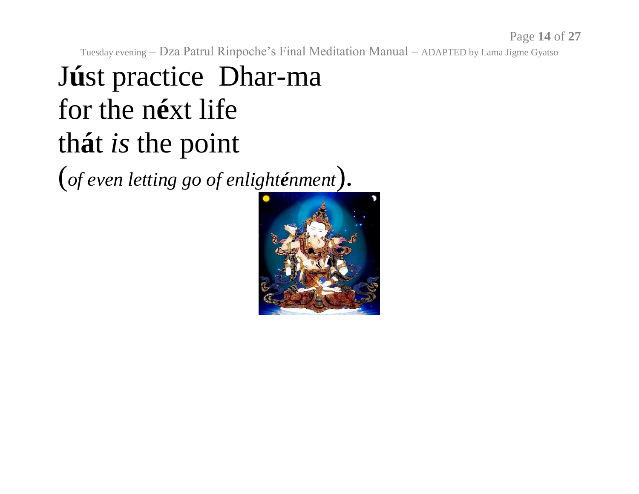# J**ú**st practice Dhar-ma for the n**é**xt life th**á**t *is* the point

(*of even letting go of enlighténment*).

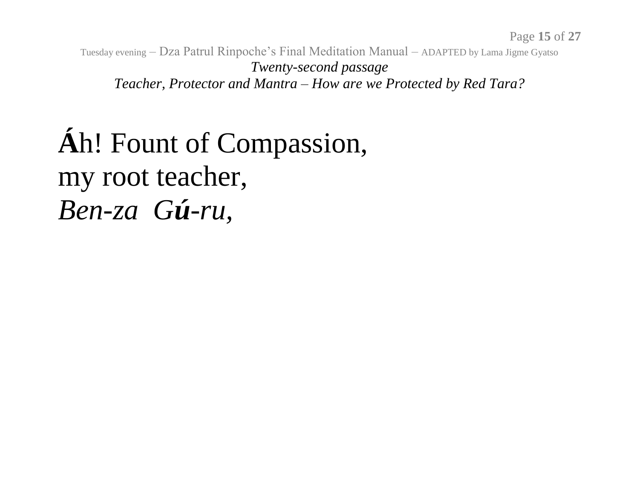Tuesday evening – Dza Patrul Rinpoche's Final Meditation Manual – ADAPTED by Lama Jigme Gyatso *Twenty-second passage Teacher, Protector and Mantra – How are we Protected by Red Tara?*

# **Á**h! Fount of Compassion, my root teacher, *Ben-za Gú-ru,*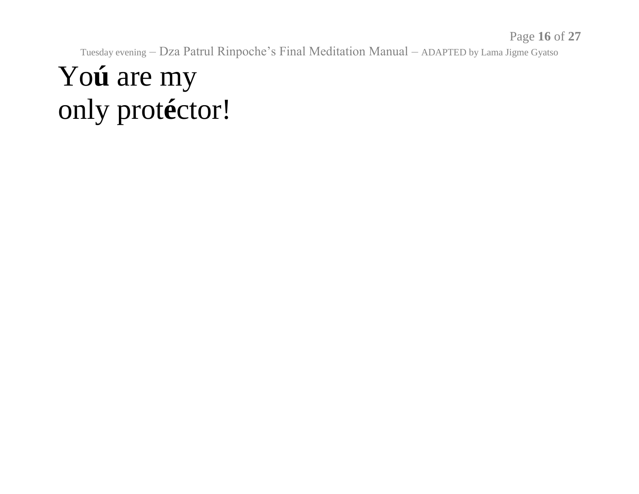Page **16** of **27**

Tuesday evening – Dza Patrul Rinpoche's Final Meditation Manual – ADAPTED by Lama Jigme Gyatso

## Yo**ú** are my only prot**é**ctor!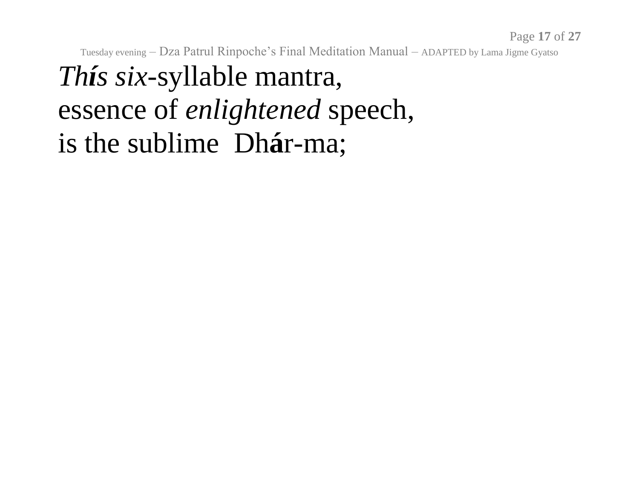## *Thís six*-syllable mantra, essence of *enlightened* speech, is the sublime Dh**á**r-ma;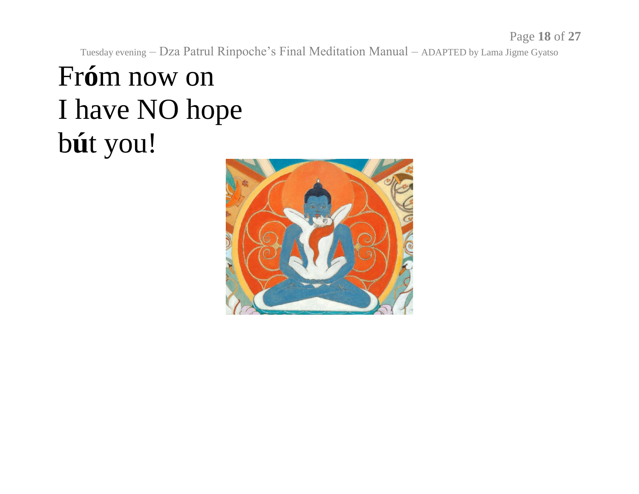# Fr**ó**m now on I have NO hope b**ú**t you!

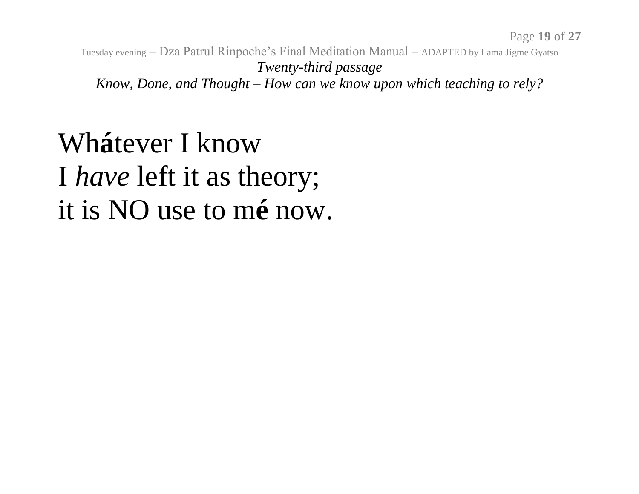Tuesday evening – Dza Patrul Rinpoche's Final Meditation Manual – ADAPTED by Lama Jigme Gyatso *Twenty-third passage Know, Done, and Thought – How can we know upon which teaching to rely?*

#### Wh**á**tever I know I *have* left it as theory; it is NO use to m**é** now.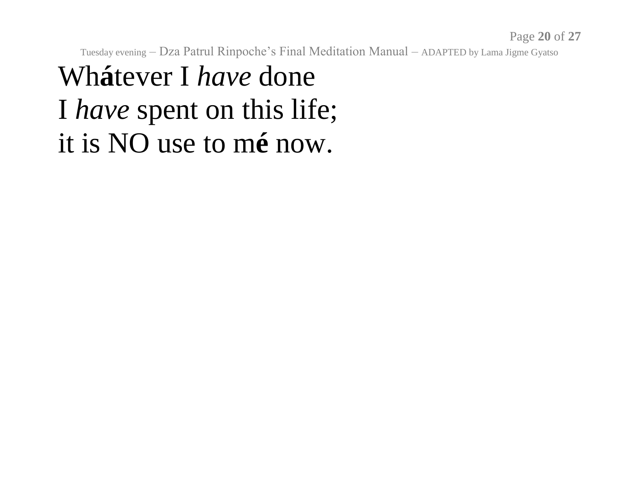### Wh**á**tever I *have* done I *have* spent on this life; it is NO use to m**é** now.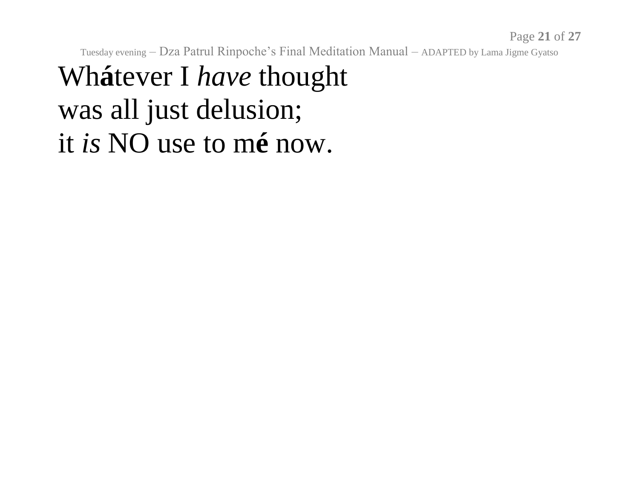# Wh**á**tever I *have* thought was all just delusion; it *is* NO use to m**é** now.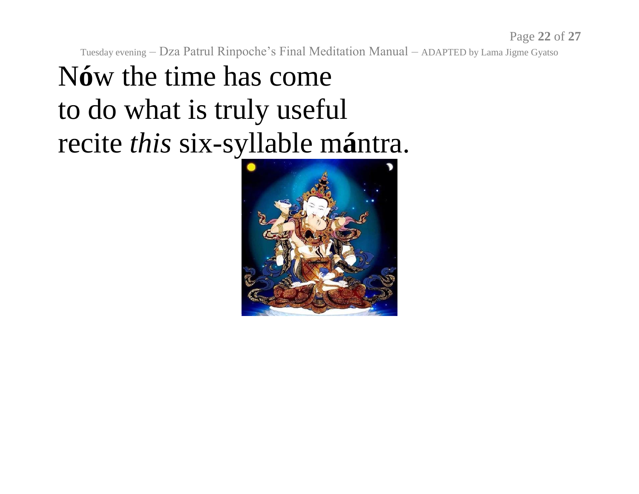# N**ó**w the time has come to do what is truly useful recite *this* six-syllable m**á**ntra.

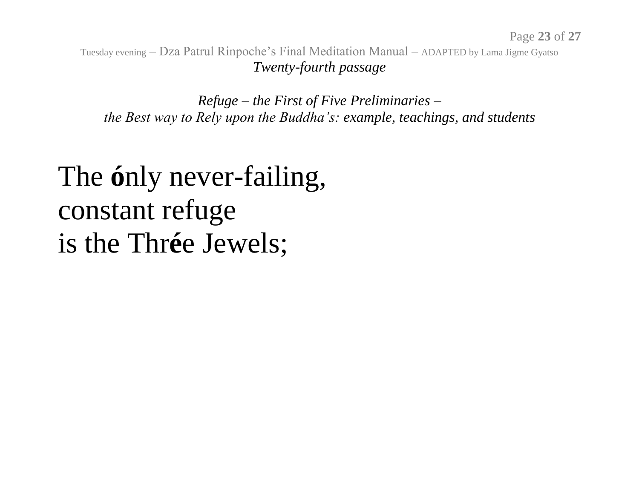Tuesday evening – Dza Patrul Rinpoche's Final Meditation Manual – ADAPTED by Lama Jigme Gyatso *Twenty-fourth passage*

*Refuge – the First of Five Preliminaries – the Best way to Rely upon the Buddha's: example, teachings, and students*

#### The **ó**nly never-failing, constant refuge is the Thr**é**e Jewels;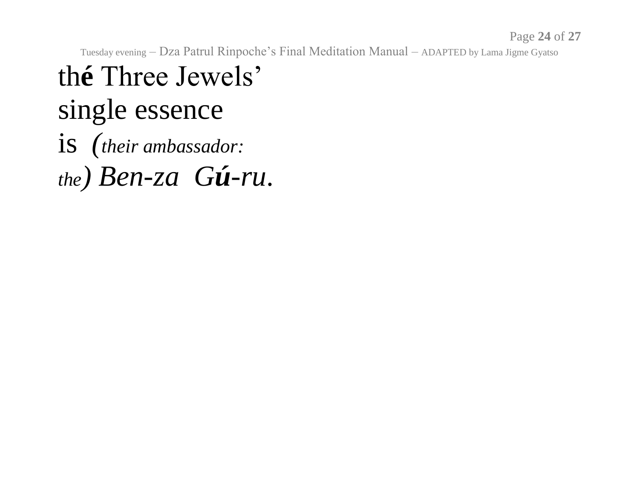#### th**é** Three Jewels' single essence is *(their ambassador: the) Ben-za Gú-ru*.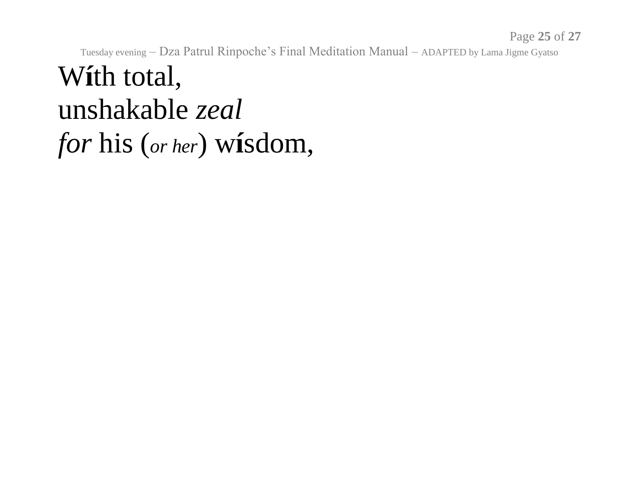Page **25** of **27**

Tuesday evening – Dza Patrul Rinpoche's Final Meditation Manual – ADAPTED by Lama Jigme Gyatso

#### W**í**th total, unshakable *zeal for* his (*or her*) w**í**sdom,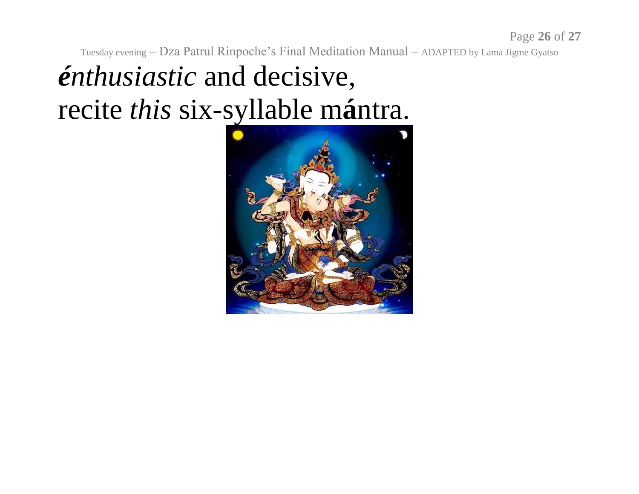## *énthusiastic* and decisive, recite *this* six-syllable m**á**ntra.